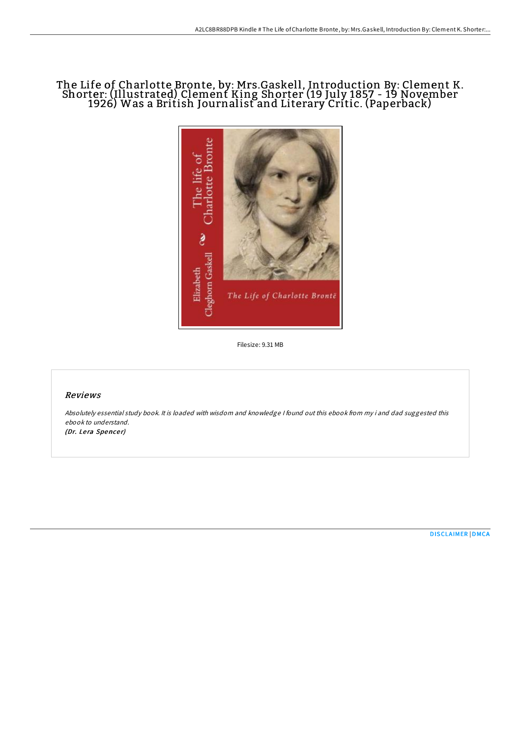# The Life of Charlotte Bronte, by: Mrs.Gaskell, Introduction By: Clement K. Shorter: (Illustrated) Clement King Shorter (19 July 1857 - 19 November 1926) Was a British Journalist and Literary Critic. (Paperback)



Filesize: 9.31 MB

# Reviews

Absolutely essential study book. It is loaded with wisdom and knowledge <sup>I</sup> found out this ebook from my i and dad suggested this ebook to understand.

(Dr. Lera Spencer)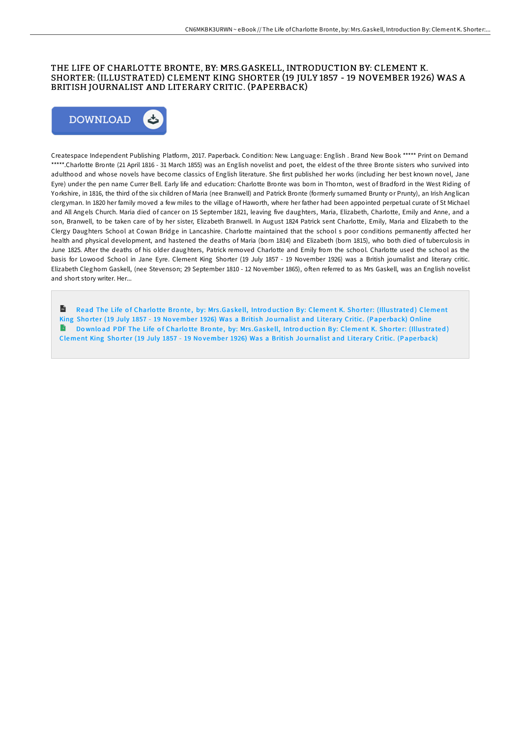# THE LIFE OF CHARLOTTE BRONTE, BY: MRS.GASKELL, INTRODUCTION BY: CLEMENT K. SHORTER: (ILLUSTRATED) CLEMENT KING SHORTER (19 JULY 1857 - 19 NOVEMBER 1926) WAS A BRITISH JOURNALIST AND LITERARY CRITIC. (PAPERBACK)



Createspace Independent Publishing Platform, 2017. Paperback. Condition: New. Language: English . Brand New Book \*\*\*\*\* Print on Demand \*\*\*\*\*.Charlotte Bronte (21 April 1816 - 31 March 1855) was an English novelist and poet, the eldest of the three Bronte sisters who survived into adulthood and whose novels have become classics of English literature. She first published her works (including her best known novel, Jane Eyre) under the pen name Currer Bell. Early life and education: Charlotte Bronte was born in Thornton, west of Bradford in the West Riding of Yorkshire, in 1816, the third of the six children of Maria (nee Branwell) and Patrick Bronte (formerly surnamed Brunty or Prunty), an Irish Anglican clergyman. In 1820 her family moved a few miles to the village of Haworth, where her father had been appointed perpetual curate of St Michael and All Angels Church. Maria died of cancer on 15 September 1821, leaving five daughters, Maria, Elizabeth, Charlotte, Emily and Anne, and a son, Branwell, to be taken care of by her sister, Elizabeth Branwell. In August 1824 Patrick sent Charlotte, Emily, Maria and Elizabeth to the Clergy Daughters School at Cowan Bridge in Lancashire. Charlotte maintained that the school s poor conditions permanently affected her health and physical development, and hastened the deaths of Maria (born 1814) and Elizabeth (born 1815), who both died of tuberculosis in June 1825. AEer the deaths of his older daughters, Patrick removed Charlotte and Emily from the school. Charlotte used the school as the basis for Lowood School in Jane Eyre. Clement King Shorter (19 July 1857 - 19 November 1926) was a British journalist and literary critic. Elizabeth Cleghorn Gaskell, (nee Stevenson; 29 September 1810 - 12 November 1865), often referred to as Mrs Gaskell, was an English novelist and short story writer. Her.

Read The Life of Charlotte Bronte, by: Mrs.Gaskell, Introduction By: [Clement](http://almighty24.tech/the-life-of-charlotte-bronte-by-mrs-gaskell-intr.html) K. Shorter: (Illustrated) Clement King Shorter (19 July 1857 - 19 November 1926) Was a British Journalist and Literary Critic. (Paperback) Online B Download PDF The Life of Charlotte Bronte, by: Mrs.Gaskell, Introduction By: [Clement](http://almighty24.tech/the-life-of-charlotte-bronte-by-mrs-gaskell-intr.html) K. Shorter: (Illustrated) Clement King Shorter (19 July 1857 - 19 November 1926) Was a British Journalist and Literary Critic. (Paperback)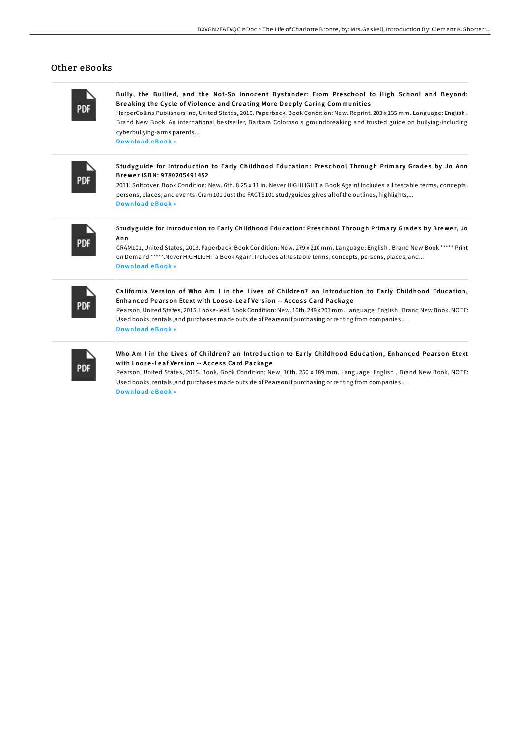### Other eBooks

| PDF |  |
|-----|--|

Bully, the Bullied, and the Not-So Innocent Bystander: From Preschool to High School and Beyond: Breaking the Cycle of Violence and Creating More Deeply Caring Communities

HarperCollins Publishers Inc, United States, 2016. Paperback. Book Condition: New. Reprint. 203 x 135 mm. Language: English. Brand New Book. An international bestseller, Barbara Coloroso s groundbreaking and trusted guide on bullying-including cyberbullying-arms parents...

Download eBook »

Studyguide for Introduction to Early Childhood Education: Preschool Through Primary Grades by Jo Ann Brewer ISBN: 9780205491452

2011. Softcover. Book Condition: New. 6th. 8.25 x 11 in. Never HIGHLIGHT a Book Again! Includes all testable terms, concepts, persons, places, and events. Cram 101 Just the FACTS101 studyguides gives all of the outlines, highlights,... Download eBook »



Studyguide for Introduction to Early Childhood Education: Preschool Through Primary Grades by Brewer, Jo Ann

CRAM101, United States, 2013. Paperback. Book Condition: New. 279 x 210 mm. Language: English. Brand New Book \*\*\*\*\* Print on Demand \*\*\*\*\*. Never HIGHLIGHT a Book Again! Includes all testable terms, concepts, persons, places, and... Download eBook »

| ٠<br>_ | ٠ |
|--------|---|
|        |   |

California Version of Who Am I in the Lives of Children? an Introduction to Early Childhood Education, Enhanced Pearson Etext with Loose-Leaf Version -- Access Card Package

Pearson, United States, 2015. Loose-leaf. Book Condition: New. 10th. 249 x 201 mm. Language: English. Brand New Book. NOTE: Used books, rentals, and purchases made outside of Pearson If purchasing or renting from companies... **Download eBook**»

| ۰ | ٠ |
|---|---|

#### Who Am I in the Lives of Children? an Introduction to Early Childhood Education, Enhanced Pearson Etext with Loose-Leaf Version -- Access Card Package

Pearson, United States, 2015. Book. Book Condition: New. 10th. 250 x 189 mm. Language: English . Brand New Book. NOTE: Used books, rentals, and purchases made outside of Pearson If purchasing or renting from companies... Download eBook »